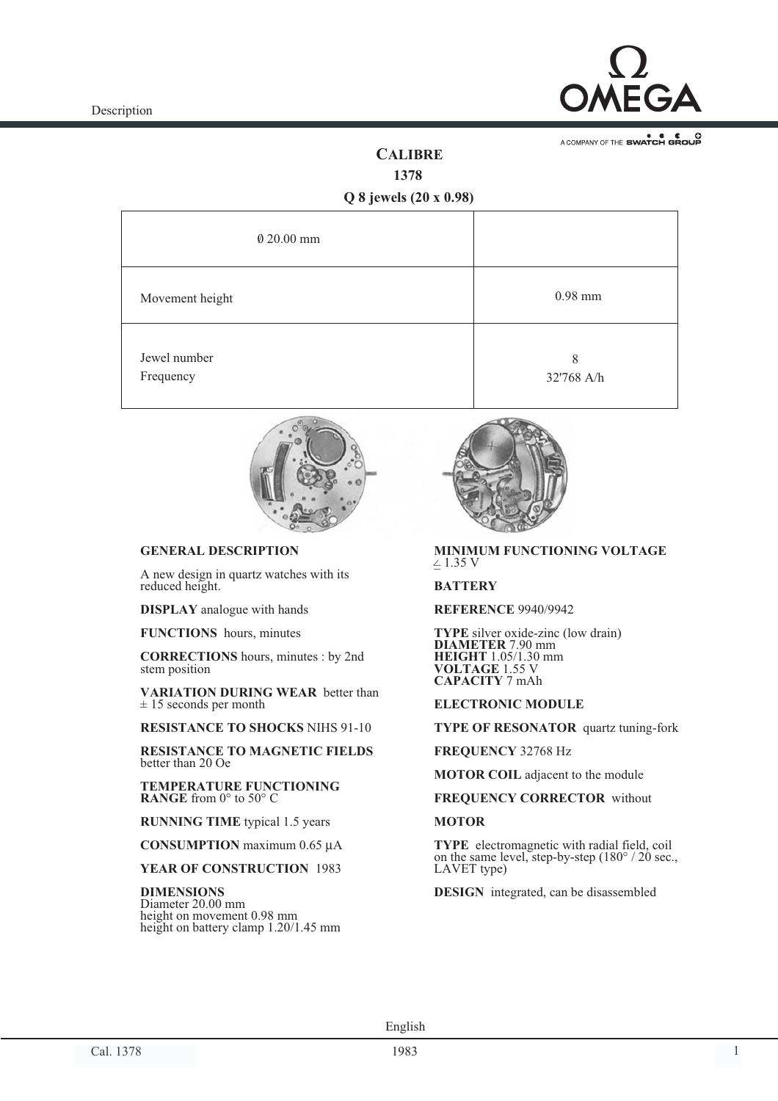

A COMPANY OF THE SWATCH GROUP

## **CALIBRE**

**1378**

### **Q 8 jewels (20 x 0.98)**

| $\theta$ 20.00 mm         |                 |
|---------------------------|-----------------|
| Movement height           | $0.98$ mm       |
| Jewel number<br>Frequency | 8<br>32'768 A/h |



### **GENERAL DESCRIPTION**

A new design in quartz watches with its reduced height.

**DISPLAY** analogue with hands

**FUNCTIONS** hours, minutes

**CORRECTIONS** hours, minutes : by 2nd stem position

**VARIATION DURING WEAR** better than  $± 15$  seconds per month

**RESISTANCE TO SHOCKS** NIHS 91-10

**RESISTANCE TO MAGNETIC FIELDS** better than 20 Oe

**TEMPERATURE FUNCTIONING RANGE** from 0° to 50° C

**RUNNING TIME** typical 1.5 years

**CONSUMPTION** maximum 0.65 µA

**YEAR OF CONSTRUCTION** 1983

**DIMENSIONS** Diameter 20.00 mm height on movement 0.98 mm height on battery clamp 1.20/1.45 mm



#### $\leq$  1.35 V **MINIMUM FUNCTIONING VOLTAGE**

#### **BATTERY**

**REFERENCE** 9940/9942

**TYPE** silver oxide-zinc (low drain) **DIAMETER** 7.90 mm **HEIGHT** 1.05/1.30 mm **VOLTAGE** 1.55 V **CAPACITY** 7 mAh

#### **ELECTRONIC MODULE**

**TYPE OF RESONATOR** quartz tuning-fork

**FREQUENCY** 32768 Hz

**MOTOR COIL** adjacent to the module

**FREQUENCY CORRECTOR** without

#### **MOTOR**

**TYPE** electromagnetic with radial field, coil on the same level, step-by-step (180° / 20 sec., LAVET type)

**DESIGN** integrated, can be disassembled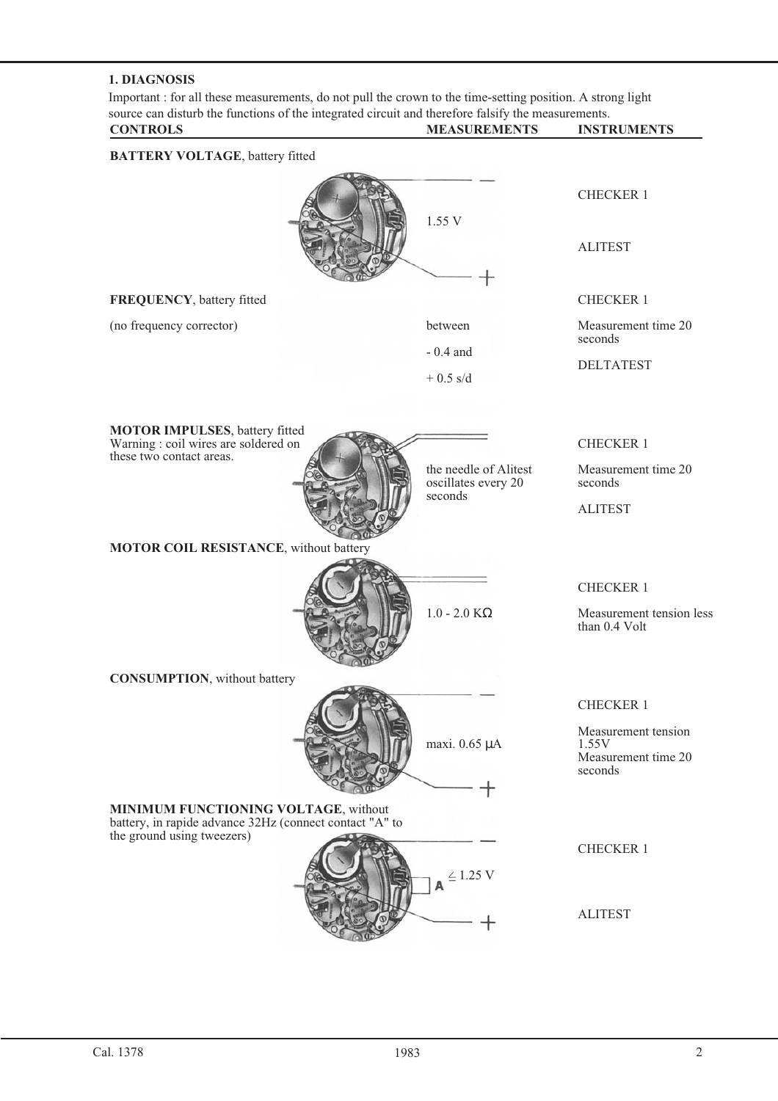### **1. DIAGNOSIS**

Important : for all these measurements, do not pull the crown to the time-setting position. A strong light source can disturb the functions of the integrated circuit and therefore falsify the measurements. **CONTROLS MEASUREMENTS INSTRUMENTS**

| <b>UNINULD</b>                                                                                  |                                              | 11 10 1 11 0 1 1 1 1 1 0                                       |
|-------------------------------------------------------------------------------------------------|----------------------------------------------|----------------------------------------------------------------|
| <b>BATTERY VOLTAGE</b> , battery fitted                                                         |                                              |                                                                |
|                                                                                                 |                                              | <b>CHECKER 1</b>                                               |
|                                                                                                 | 1.55 V                                       | <b>ALITEST</b>                                                 |
| FREQUENCY, battery fitted                                                                       |                                              | <b>CHECKER 1</b>                                               |
| (no frequency corrector)                                                                        | between                                      | Measurement time 20<br>seconds                                 |
|                                                                                                 | $-0.4$ and<br>$+0.5$ s/d                     | <b>DELTATEST</b>                                               |
| <b>MOTOR IMPULSES</b> , battery fitted<br>Warning : coil wires are soldered on                  |                                              | <b>CHECKER 1</b>                                               |
| these two contact areas.                                                                        | the needle of Alitest<br>oscillates every 20 | Measurement time 20<br>seconds                                 |
|                                                                                                 | seconds                                      | <b>ALITEST</b>                                                 |
| MOTOR COIL RESISTANCE, without battery                                                          |                                              |                                                                |
|                                                                                                 |                                              | <b>CHECKER 1</b>                                               |
|                                                                                                 | $1.0 - 2.0$ ΚΩ                               | Measurement tension less<br>than 0.4 Volt                      |
| <b>CONSUMPTION</b> , without battery                                                            |                                              |                                                                |
|                                                                                                 |                                              | <b>CHECKER 1</b>                                               |
|                                                                                                 | maxi. 0.65 µA                                | Measurement tension<br>1.55V<br>Measurement time 20<br>seconds |
| MINIMUM FUNCTIONING VOLTAGE, without<br>battery, in rapide advance 32Hz (connect contact "A" to |                                              |                                                                |
| the ground using tweezers)                                                                      | $\leq 1.25$ V                                | <b>CHECKER 1</b>                                               |
|                                                                                                 |                                              | <b>ALITEST</b>                                                 |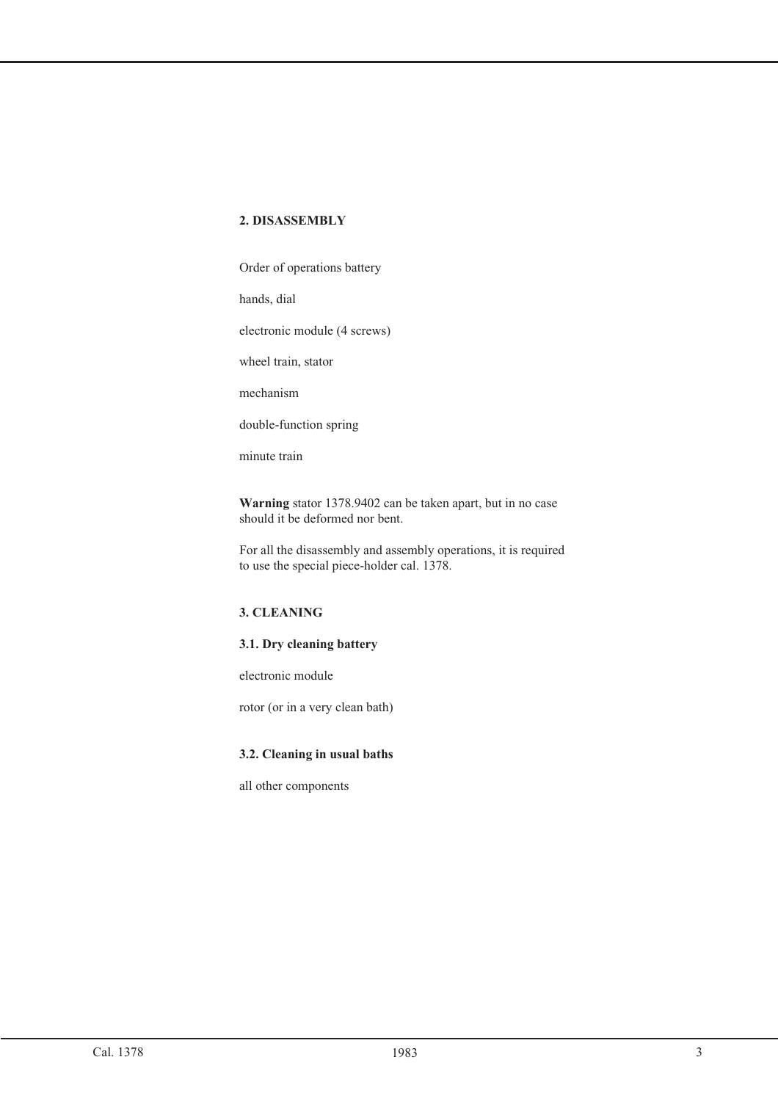Order of operations battery

hands, dial

electronic module (4 screws)

wheel train, stator

mechanism

double-function spring

minute train

**Warning** stator 1378.9402 can be taken apart, but in no case should it be deformed nor bent.

For all the disassembly and assembly operations, it is required to use the special piece-holder cal. 1378.

# **3. CLEANING**

#### **3.1. Dry cleaning battery**

electronic module

rotor (or in a very clean bath)

#### **3.2. Cleaning in usual baths**

all other components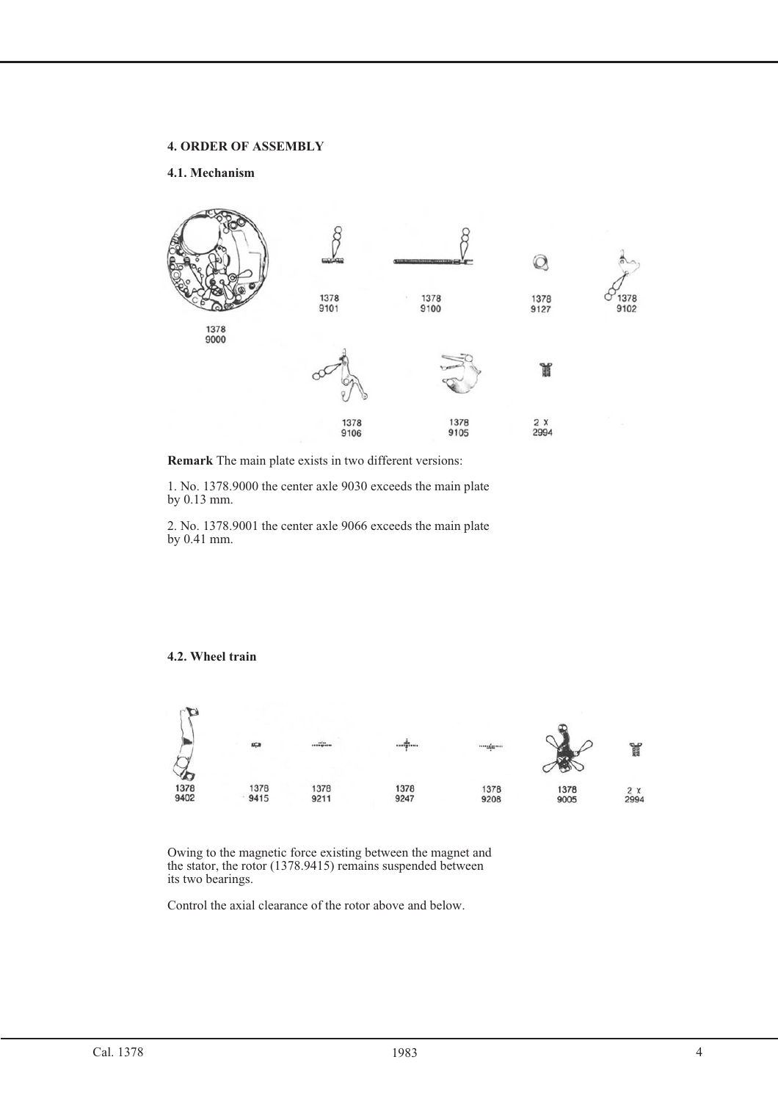#### **4. ORDER OF ASSEMBLY**

#### **4.1. Mechanism**



**Remark** The main plate exists in two different versions:

1. No. 1378.9000 the center axle 9030 exceeds the main plate by 0.13 mm.

2. No. 1378.9001 the center axle 9066 exceeds the main plate by 0.41 mm.

#### **4.2. Wheel train**



Owing to the magnetic force existing between the magnet and the stator, the rotor (1378.9415) remains suspended between its two bearings.

Control the axial clearance of the rotor above and below.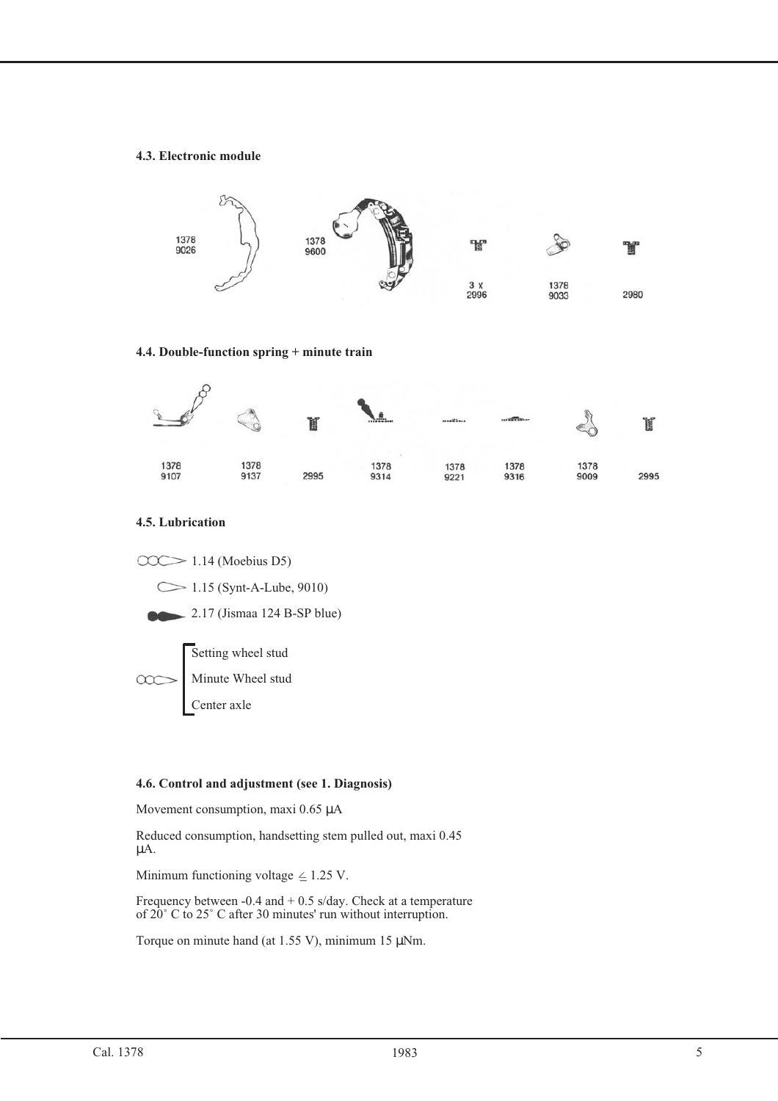#### **4.3. Electronic module**



#### **4.4. Double-function spring + minute train**



#### **4.5. Lubrication**

 $\overline{O}$  1.14 (Moebius D5) 1.15 (Synt-A-Lube, 9010) 2.17 (Jismaa 124 B-SP blue) Setting wheel stud Minute Wheel stud Center axle

#### **4.6. Control and adjustment (see 1. Diagnosis)**

Movement consumption, maxi 0.65 µA

Reduced consumption, handsetting stem pulled out, maxi 0.45 µA.

Minimum functioning voltage  $\leq$  1.25 V.

Frequency between  $-0.4$  and  $+0.5$  s/day. Check at a temperature of 20˚ C to 25˚ C after 30 minutes' run without interruption.

Torque on minute hand (at 1.55 V), minimum 15  $\mu$ Nm.